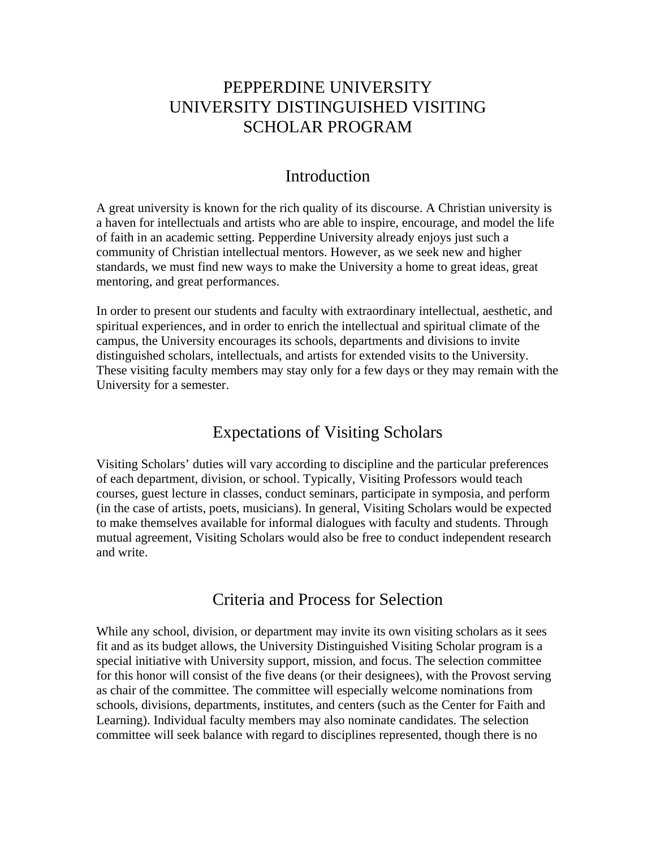## PEPPERDINE UNIVERSITY UNIVERSITY DISTINGUISHED VISITING SCHOLAR PROGRAM

### Introduction

A great university is known for the rich quality of its discourse. A Christian university is a haven for intellectuals and artists who are able to inspire, encourage, and model the life of faith in an academic setting. Pepperdine University already enjoys just such a community of Christian intellectual mentors. However, as we seek new and higher standards, we must find new ways to make the University a home to great ideas, great mentoring, and great performances.

In order to present our students and faculty with extraordinary intellectual, aesthetic, and spiritual experiences, and in order to enrich the intellectual and spiritual climate of the campus, the University encourages its schools, departments and divisions to invite distinguished scholars, intellectuals, and artists for extended visits to the University. These visiting faculty members may stay only for a few days or they may remain with the University for a semester.

## Expectations of Visiting Scholars

Visiting Scholars' duties will vary according to discipline and the particular preferences of each department, division, or school. Typically, Visiting Professors would teach courses, guest lecture in classes, conduct seminars, participate in symposia, and perform (in the case of artists, poets, musicians). In general, Visiting Scholars would be expected to make themselves available for informal dialogues with faculty and students. Through mutual agreement, Visiting Scholars would also be free to conduct independent research and write.

## Criteria and Process for Selection

While any school, division, or department may invite its own visiting scholars as it sees fit and as its budget allows, the University Distinguished Visiting Scholar program is a special initiative with University support, mission, and focus. The selection committee for this honor will consist of the five deans (or their designees), with the Provost serving as chair of the committee. The committee will especially welcome nominations from schools, divisions, departments, institutes, and centers (such as the Center for Faith and Learning). Individual faculty members may also nominate candidates. The selection committee will seek balance with regard to disciplines represented, though there is no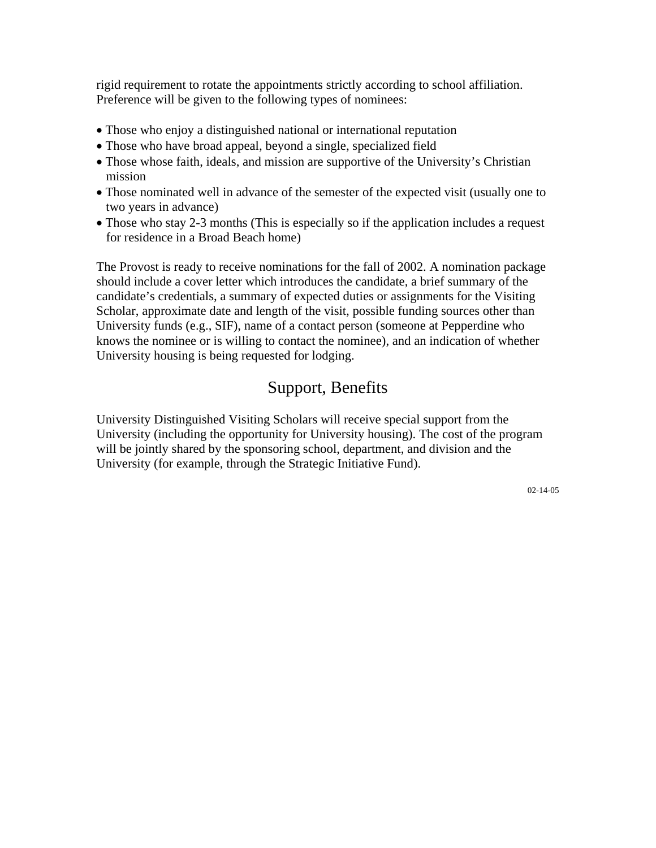rigid requirement to rotate the appointments strictly according to school affiliation. Preference will be given to the following types of nominees:

- Those who enjoy a distinguished national or international reputation
- Those who have broad appeal, beyond a single, specialized field
- Those whose faith, ideals, and mission are supportive of the University's Christian mission
- Those nominated well in advance of the semester of the expected visit (usually one to two years in advance)
- Those who stay 2-3 months (This is especially so if the application includes a request for residence in a Broad Beach home)

The Provost is ready to receive nominations for the fall of 2002. A nomination package should include a cover letter which introduces the candidate, a brief summary of the candidate's credentials, a summary of expected duties or assignments for the Visiting Scholar, approximate date and length of the visit, possible funding sources other than University funds (e.g., SIF), name of a contact person (someone at Pepperdine who knows the nominee or is willing to contact the nominee), and an indication of whether University housing is being requested for lodging.

## Support, Benefits

University Distinguished Visiting Scholars will receive special support from the University (including the opportunity for University housing). The cost of the program will be jointly shared by the sponsoring school, department, and division and the University (for example, through the Strategic Initiative Fund).

02-14-05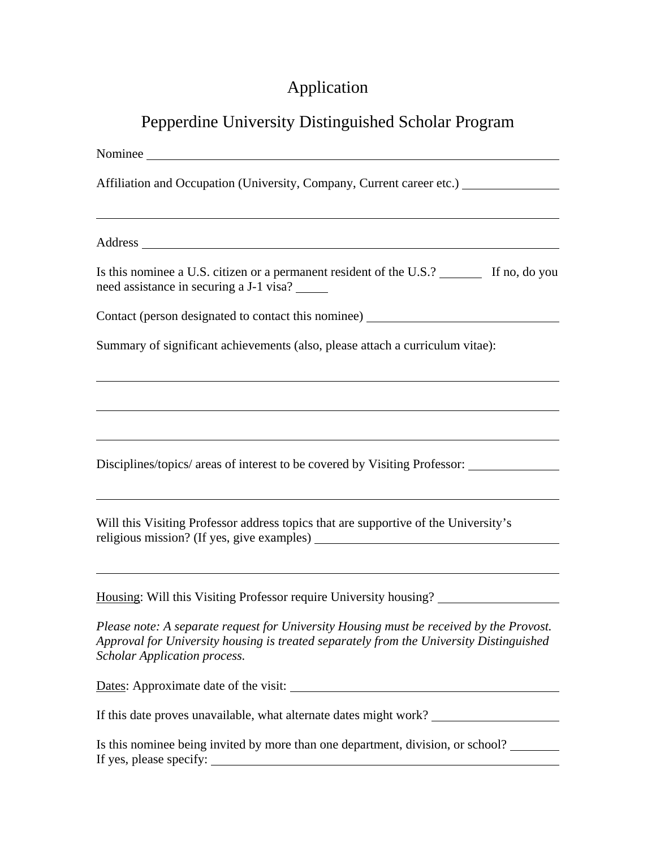# Application

## Pepperdine University Distinguished Scholar Program

| Nominee Nominee                                                                                                                                                                                                           |
|---------------------------------------------------------------------------------------------------------------------------------------------------------------------------------------------------------------------------|
| Affiliation and Occupation (University, Company, Current career etc.) ___________                                                                                                                                         |
| ,我们也不会有什么。""我们的人,我们也不会有什么?""我们的人,我们也不会有什么?""我们的人,我们也不会有什么?""我们的人,我们也不会有什么?""我们的人                                                                                                                                          |
| Is this nominee a U.S. citizen or a permanent resident of the U.S.? _______ If no, do you<br>need assistance in securing a J-1 visa?                                                                                      |
| Contact (person designated to contact this nominee) ____________________________                                                                                                                                          |
| Summary of significant achievements (also, please attach a curriculum vitae):                                                                                                                                             |
| ,我们也不会有什么。""我们的人,我们也不会有什么?""我们的人,我们也不会有什么?""我们的人,我们也不会有什么?""我们的人,我们也不会有什么?""我们的人                                                                                                                                          |
| Disciplines/topics/ areas of interest to be covered by Visiting Professor: _____________                                                                                                                                  |
| Will this Visiting Professor address topics that are supportive of the University's                                                                                                                                       |
| Housing: Will this Visiting Professor require University housing?                                                                                                                                                         |
| Please note: A separate request for University Housing must be received by the Provost.<br>Approval for University housing is treated separately from the University Distinguished<br><b>Scholar Application process.</b> |
|                                                                                                                                                                                                                           |
| If this date proves unavailable, what alternate dates might work? _______________                                                                                                                                         |
| Is this nominee being invited by more than one department, division, or school?                                                                                                                                           |